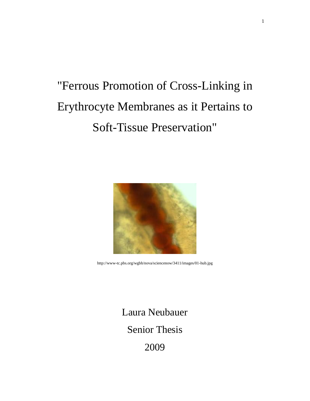# "Ferrous Promotion of Cross-Linking in Erythrocyte Membranes as it Pertains to Soft-Tissue Preservation"



http://www-tc.pbs.org/wgbh/nova/sciencenow/3411/images/01-hub.jpg

Laura Neubauer Senior Thesis 2009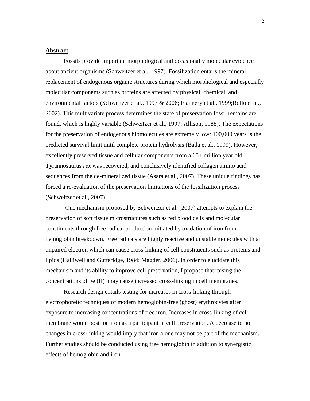#### **Abstract**

Fossils provide important morphological and occasionally molecular evidence about ancient organisms (Schweitzer et al., 1997). Fossilization entails the mineral replacement of endogenous organic structures during which morphological and especially molecular components such as proteins are affected by physical, chemical, and environmental factors (Schweitzer et al., 1997 & 2006; Flannery et al., 1999;Rollo et al., 2002). This multivariate process determines the state of preservation fossil remains are found, which is highly variable (Schweitzer et al., 1997; Allison, 1988). The expectations for the preservation of endogenous biomolecules are extremely low: 100,000 years is the predicted survival limit until complete protein hydrolysis (Bada et al., 1999). However, excellently preserved tissue and cellular components from a 65+ million year old Tyrannosaurus *rex* was recovered, and conclusively identified collagen amino acid sequences from the de-mineralized tissue (Asara et al., 2007). These unique findings has forced a re-evaluation of the preservation limitations of the fossilization process (Schweitzer et al., 2007).

One mechanism proposed by Schweitzer et al. (2007) attempts to explain the preservation of soft tissue microstructures such as red blood cells and molecular constituents through free radical production initiated by oxidation of iron from hemoglobin breakdown. Free radicals are highly reactive and unstable molecules with an unpaired electron which can cause cross-linking of cell constituents such as proteins and lipids (Halliwell and Gutteridge, 1984; Magder, 2006). In order to elucidate this mechanism and its ability to improve cell preservation, I propose that raising the concentrations of Fe (II) may cause increased cross-linking in cell membranes.

Research design entails testing for increases in cross-linking through electrophoretic techniques of modern hemoglobin-free (ghost) erythrocytes after exposure to increasing concentrations of free iron. Increases in cross-linking of cell membrane would position iron as a participant in cell preservation. A decrease to no changes in cross-linking would imply that iron alone may not be part of the mechanism. Further studies should be conducted using free hemoglobin in addition to synergistic effects of hemoglobin and iron.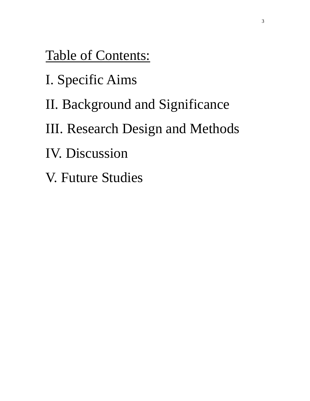Table of Contents:

- I. Specific Aims
- II. Background and Significance
- III. Research Design and Methods
- IV. Discussion
- V. Future Studies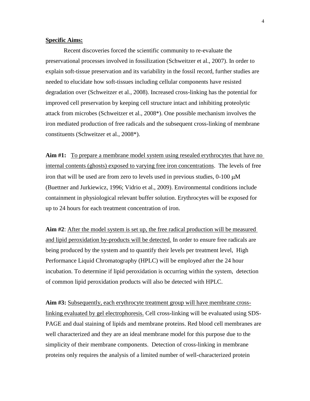# **Specific Aims:**

Recent discoveries forced the scientific community to re-evaluate the preservational processes involved in fossilization (Schweitzer et al., 2007). In order to explain soft-tissue preservation and its variability in the fossil record, further studies are needed to elucidate how soft-tissues including cellular components have resisted degradation over (Schweitzer et al., 2008). Increased cross-linking has the potential for improved cell preservation by keeping cell structure intact and inhibiting proteolytic attack from microbes (Schweitzer et al., 2008\*). One possible mechanism involves the iron mediated production of free radicals and the subsequent cross-linking of membrane constituents (Schweitzer et al., 2008\*).

**Aim #1:** To prepare a membrane model system using resealed erythrocytes that have no internal contents (ghosts) exposed to varying free iron concentrations. The levels of free iron that will be used are from zero to levels used in previous studies,  $0\n-100 \mu M$ (Buettner and Jurkiewicz, 1996; Vidrio et al., 2009). Environmental conditions include containment in physiological relevant buffer solution. Erythrocytes will be exposed for up to 24 hours for each treatment concentration of iron.

**Aim #2**: After the model system is set up, the free radical production will be measured and lipid peroxidation by-products will be detected. In order to ensure free radicals are being produced by the system and to quantify their levels per treatment level, High Performance Liquid Chromatography (HPLC) will be employed after the 24 hour incubation. To determine if lipid peroxidation is occurring within the system, detection of common lipid peroxidation products will also be detected with HPLC.

**Aim #3:** Subsequently, each erythrocyte treatment group will have membrane crosslinking evaluated by gel electrophoresis. Cell cross-linking will be evaluated using SDS-PAGE and dual staining of lipids and membrane proteins. Red blood cell membranes are well characterized and they are an ideal membrane model for this purpose due to the simplicity of their membrane components. Detection of cross-linking in membrane proteins only requires the analysis of a limited number of well-characterized protein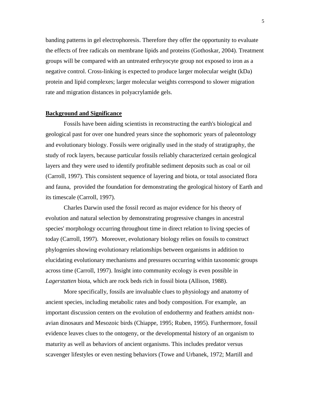banding patterns in gel electrophoresis. Therefore they offer the opportunity to evaluate the effects of free radicals on membrane lipids and proteins (Gothoskar, 2004). Treatment groups will be compared with an untreated erthryocyte group not exposed to iron as a negative control. Cross-linking is expected to produce larger molecular weight (kDa) protein and lipid complexes; larger molecular weights correspond to slower migration rate and migration distances in polyacrylamide gels.

#### **Background and Significance**

Fossils have been aiding scientists in reconstructing the earth's biological and geological past for over one hundred years since the sophomoric years of paleontology and evolutionary biology. Fossils were originally used in the study of stratigraphy, the study of rock layers, because particular fossils reliably characterized certain geological layers and they were used to identify profitable sediment deposits such as coal or oil (Carroll, 1997). This consistent sequence of layering and biota, or total associated flora and fauna, provided the foundation for demonstrating the geological history of Earth and its timescale (Carroll, 1997).

Charles Darwin used the fossil record as major evidence for his theory of evolution and natural selection by demonstrating progressive changes in ancestral species' morphology occurring throughout time in direct relation to living species of today (Carroll, 1997). Moreover, evolutionary biology relies on fossils to construct phylogenies showing evolutionary relationships between organisms in addition to elucidating evolutionary mechanisms and pressures occurring within taxonomic groups across time (Carroll, 1997). Insight into community ecology is even possible in *Lagerstatten* biota, which are rock beds rich in fossil biota (Allison, 1988).

More specifically, fossils are invaluable clues to physiology and anatomy of ancient species, including metabolic rates and body composition. For example, an important discussion centers on the evolution of endothermy and feathers amidst nonavian dinosaurs and Mesozoic birds (Chiappe, 1995; Ruben, 1995). Furthermore, fossil evidence leaves clues to the ontogeny, or the developmental history of an organism to maturity as well as behaviors of ancient organisms. This includes predator versus scavenger lifestyles or even nesting behaviors (Towe and Urbanek, 1972; Martill and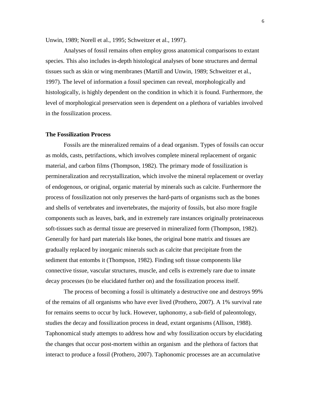Unwin, 1989; Norell et al., 1995; Schweitzer et al., 1997).

Analyses of fossil remains often employ gross anatomical comparisons to extant species. This also includes in-depth histological analyses of bone structures and dermal tissues such as skin or wing membranes (Martill and Unwin, 1989; Schweitzer et al., 1997). The level of information a fossil specimen can reveal, morphologically and histologically, is highly dependent on the condition in which it is found. Furthermore, the level of morphological preservation seen is dependent on a plethora of variables involved in the fossilization process.

# **The Fossilization Process**

Fossils are the mineralized remains of a dead organism. Types of fossils can occur as molds, casts, petrifactions, which involves complete mineral replacement of organic material, and carbon films (Thompson, 1982). The primary mode of fossilization is permineralization and recrystallization, which involve the mineral replacement or overlay of endogenous, or original, organic material by minerals such as calcite. Furthermore the process of fossilization not only preserves the hard-parts of organisms such as the bones and shells of vertebrates and invertebrates, the majority of fossils, but also more fragile components such as leaves, bark, and in extremely rare instances originally proteinaceous soft-tissues such as dermal tissue are preserved in mineralized form (Thompson, 1982). Generally for hard part materials like bones, the original bone matrix and tissues are gradually replaced by inorganic minerals such as calcite that precipitate from the sediment that entombs it (Thompson, 1982). Finding soft tissue components like connective tissue, vascular structures, muscle, and cells is extremely rare due to innate decay processes (to be elucidated further on) and the fossilization process itself.

The process of becoming a fossil is ultimately a destructive one and destroys 99% of the remains of all organisms who have ever lived (Prothero, 2007). A 1% survival rate for remains seems to occur by luck. However, taphonomy, a sub-field of paleontology, studies the decay and fossilization process in dead, extant organisms (Allison, 1988). Taphonomical study attempts to address how and why fossilization occurs by elucidating the changes that occur post-mortem within an organism and the plethora of factors that interact to produce a fossil (Prothero, 2007). Taphonomic processes are an accumulative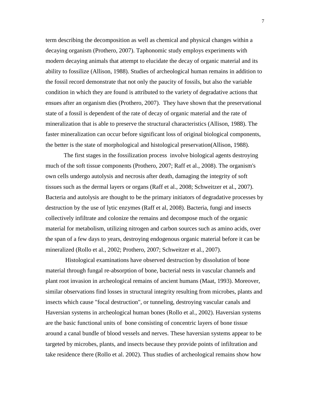term describing the decomposition as well as chemical and physical changes within a decaying organism (Prothero, 2007). Taphonomic study employs experiments with modern decaying animals that attempt to elucidate the decay of organic material and its ability to fossilize (Allison, 1988). Studies of archeological human remains in addition to the fossil record demonstrate that not only the paucity of fossils, but also the variable condition in which they are found is attributed to the variety of degradative actions that ensues after an organism dies (Prothero, 2007). They have shown that the preservational state of a fossil is dependent of the rate of decay of organic material and the rate of mineralization that is able to preserve the structural characteristics (Allison, 1988). The faster mineralization can occur before significant loss of original biological components, the better is the state of morphological and histological preservation(Allison, 1988).

The first stages in the fossilization process involve biological agents destroying much of the soft tissue components (Prothero, 2007; Raff et al., 2008). The organism's own cells undergo autolysis and necrosis after death, damaging the integrity of soft tissues such as the dermal layers or organs (Raff et al., 2008; Schweitzer et al., 2007). Bacteria and autolysis are thought to be the primary initiators of degradative processes by destruction by the use of lytic enzymes (Raff et al, 2008). Bacteria, fungi and insects collectively infiltrate and colonize the remains and decompose much of the organic material for metabolism, utilizing nitrogen and carbon sources such as amino acids, over the span of a few days to years, destroying endogenous organic material before it can be mineralized (Rollo et al., 2002; Prothero, 2007; Schweitzer et al., 2007).

Histological examinations have observed destruction by dissolution of bone material through fungal re-absorption of bone, bacterial nests in vascular channels and plant root invasion in archeological remains of ancient humans (Maat, 1993). Moreover, similar observations find losses in structural integrity resulting from microbes, plants and insects which cause "focal destruction", or tunneling, destroying vascular canals and Haversian systems in archeological human bones (Rollo et al., 2002). Haversian systems are the basic functional units of bone consisting of concentric layers of bone tissue around a canal bundle of blood vessels and nerves. These haversian systems appear to be targeted by microbes, plants, and insects because they provide points of infiltration and take residence there (Rollo et al. 2002). Thus studies of archeological remains show how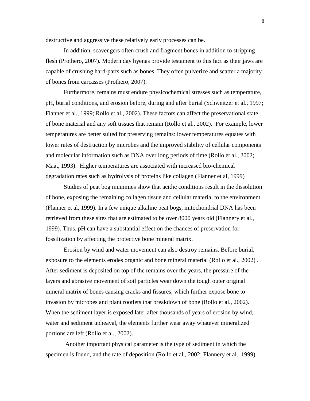destructive and aggressive these relatively early processes can be.

In addition, scavengers often crush and fragment bones in addition to stripping flesh (Prothero, 2007). Modern day hyenas provide testament to this fact as their jaws are capable of crushing hard-parts such as bones. They often pulverize and scatter a majority of bones from carcasses (Prothero, 2007).

Furthermore, remains must endure physicochemical stresses such as temperature, pH, burial conditions, and erosion before, during and after burial (Schweitzer et al., 1997; Flanner et al., 1999; Rollo et al., 2002). These factors can affect the preservational state of bone material and any soft tissues that remain (Rollo et al., 2002). For example, lower temperatures are better suited for preserving remains: lower temperatures equates with lower rates of destruction by microbes and the improved stability of cellular components and molecular information such as DNA over long periods of time (Rollo et al., 2002; Maat, 1993). Higher temperatures are associated with increased bio-chemical degradation rates such as hydrolysis of proteins like collagen (Flanner et al, 1999)

Studies of peat bog mummies show that acidic conditions result in the dissolution of bone, exposing the remaining collagen tissue and cellular material to the environment (Flanner et al, 1999). In a few unique alkaline peat bogs, mitochondrial DNA has been retrieved from these sites that are estimated to be over 8000 years old (Flannery et al., 1999). Thus, pH can have a substantial effect on the chances of preservation for fossilization by affecting the protective bone mineral matrix.

Erosion by wind and water movement can also destroy remains. Before burial, exposure to the elements erodes organic and bone mineral material (Rollo et al., 2002) . After sediment is deposited on top of the remains over the years, the pressure of the layers and abrasive movement of soil particles wear down the tough outer original mineral matrix of bones causing cracks and fissures, which further expose bone to invasion by microbes and plant rootlets that breakdown of bone (Rollo et al., 2002). When the sediment layer is exposed later after thousands of years of erosion by wind, water and sediment upheaval, the elements further wear away whatever mineralized portions are left (Rollo et al., 2002).

Another important physical parameter is the type of sediment in which the specimen is found, and the rate of deposition (Rollo et al., 2002; Flannery et al., 1999).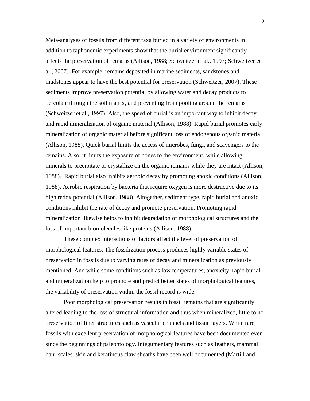Meta-analyses of fossils from different taxa buried in a variety of environments in addition to taphonomic experiments show that the burial environment significantly affects the preservation of remains (Allison, 1988; Schweitzer et al., 1997; Schweitzer et al., 2007). For example, remains deposited in marine sediments, sandstones and mudstones appear to have the best potential for preservation (Schweitzer, 2007). These sediments improve preservation potential by allowing water and decay products to percolate through the soil matrix, and preventing from pooling around the remains (Schweitzer et al., 1997). Also, the speed of burial is an important way to inhibit decay and rapid mineralization of organic material (Allison, 1988). Rapid burial promotes early mineralization of organic material before significant loss of endogenous organic material (Allison, 1988). Quick burial limits the access of microbes, fungi, and scavengers to the remains. Also, it limits the exposure of bones to the environment, while allowing minerals to precipitate or crystallize on the organic remains while they are intact (Allison, 1988). Rapid burial also inhibits aerobic decay by promoting anoxic conditions (Allison, 1988). Aerobic respiration by bacteria that require oxygen is more destructive due to its high redox potential (Allison, 1988). Altogether, sediment type, rapid burial and anoxic conditions inhibit the rate of decay and promote preservation. Promoting rapid mineralization likewise helps to inhibit degradation of morphological structures and the loss of important biomolecules like proteins (Allison, 1988).

These complex interactions of factors affect the level of preservation of morphological features. The fossilization process produces highly variable states of preservation in fossils due to varying rates of decay and mineralization as previously mentioned. And while some conditions such as low temperatures, anoxicity, rapid burial and mineralization help to promote and predict better states of morphological features, the variability of preservation within the fossil record is wide.

Poor morphological preservation results in fossil remains that are significantly altered leading to the loss of structural information and thus when mineralized, little to no preservation of finer structures such as vascular channels and tissue layers. While rare, fossils with excellent preservation of morphological features have been documented even since the beginnings of paleontology. Integumentary features such as feathers, mammal hair, scales, skin and keratinous claw sheaths have been well documented (Martill and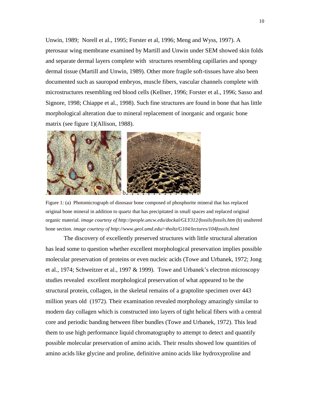Unwin, 1989; Norell et al., 1995; Forster et al, 1996; Meng and Wyss, 1997). A pterosaur wing membrane examined by Martill and Unwin under SEM showed skin folds and separate dermal layers complete with structures resembling capillaries and spongy dermal tissue (Martill and Unwin, 1989). Other more fragile soft-tissues have also been documented such as sauropod embryos, muscle fibers, vascular channels complete with microstructures resembling red blood cells (Kellner, 1996; Forster et al., 1996; Sasso and Signore, 1998; Chiappe et al., 1998). Such fine structures are found in bone that has little morphological alteration due to mineral replacement of inorganic and organic bone matrix (see figure 1)(Allison, 1988).



Figure 1: (a) Photomicrograph of dinosaur bone composed of phosphorite mineral that has replaced original bone mineral in addition to quartz that has precipitated in small spaces and replaced original organic material. *image courtesy of http://people.uncw.edu/dockal/GLY312/fossils/fossils.htm* (b) unaltered bone section. *image courtesy of http://www.geol.umd.edu/~tholtz/G104/lectures/104fossils.html*

The discovery of excellently preserved structures with little structural alteration has lead some to question whether excellent morphological preservation implies possible molecular preservation of proteins or even nucleic acids (Towe and Urbanek, 1972; Jong et al., 1974; Schweitzer et al., 1997 & 1999). Towe and Urbanek's electron microscopy studies revealed excellent morphological preservation of what appeared to be the structural protein, collagen, in the skeletal remains of a graptolite specimen over 443 million years old (1972). Their examination revealed morphology amazingly similar to modern day collagen which is constructed into layers of tight helical fibers with a central core and periodic banding between fiber bundles (Towe and Urbanek, 1972). This lead them to use high performance liquid chromatography to attempt to detect and quantify possible molecular preservation of amino acids. Their results showed low quantities of amino acids like glycine and proline, definitive amino acids like hydroxyproline and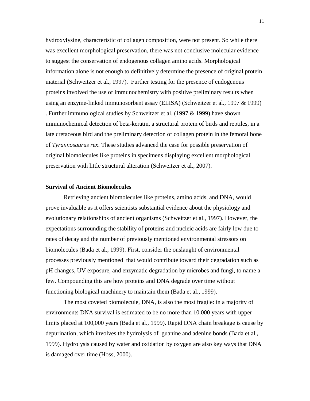hydroxylysine, characteristic of collagen composition, were not present. So while there was excellent morphological preservation, there was not conclusive molecular evidence to suggest the conservation of endogenous collagen amino acids. Morphological information alone is not enough to definitively determine the presence of original protein material (Schweitzer et al., 1997). Further testing for the presence of endogenous proteins involved the use of immunochemistry with positive preliminary results when using an enzyme-linked immunosorbent assay (ELISA) (Schweitzer et al., 1997 & 1999) . Further immunological studies by Schweitzer et al. (1997 & 1999) have shown immunochemical detection of beta-keratin, a structural protein of birds and reptiles, in a late cretaceous bird and the preliminary detection of collagen protein in the femoral bone of *Tyrannosaurus rex*. These studies advanced the case for possible preservation of original biomolecules like proteins in specimens displaying excellent morphological preservation with little structural alteration (Schweitzer et al., 2007).

# **Survival of Ancient Biomolecules**

Retrieving ancient biomolecules like proteins, amino acids, and DNA, would prove invaluable as it offers scientists substantial evidence about the physiology and evolutionary relationships of ancient organisms (Schweitzer et al., 1997). However, the expectations surrounding the stability of proteins and nucleic acids are fairly low due to rates of decay and the number of previously mentioned environmental stressors on biomolecules (Bada et al., 1999). First, consider the onslaught of environmental processes previously mentioned that would contribute toward their degradation such as pH changes, UV exposure, and enzymatic degradation by microbes and fungi, to name a few. Compounding this are how proteins and DNA degrade over time without functioning biological machinery to maintain them (Bada et al., 1999).

The most coveted biomolecule, DNA, is also the most fragile: in a majority of environments DNA survival is estimated to be no more than 10.000 years with upper limits placed at 100,000 years (Bada et al., 1999). Rapid DNA chain breakage is cause by depurination, which involves the hydrolysis of guanine and adenine bonds (Bada et al., 1999). Hydrolysis caused by water and oxidation by oxygen are also key ways that DNA is damaged over time (Hoss, 2000).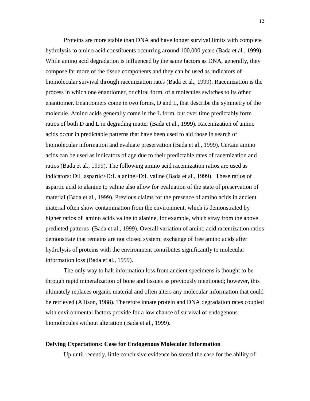Proteins are more stable than DNA and have longer survival limits with complete hydrolysis to amino acid constituents occurring around 100,000 years (Bada et al., 1999). While amino acid degradation is influenced by the same factors as DNA, generally, they compose far more of the tissue components and they can be used as indicators of biomolecular survival through racemization rates (Bada et al., 1999). Racemization is the process in which one enantiomer, or chiral form, of a molecules switches to its other enantiomer. Enantiomers come in two forms, D and L, that describe the symmetry of the molecule. Amino acids generally come in the L form, but over time predictably form ratios of both D and L in degrading matter (Bada et al., 1999). Racemization of amino acids occur in predictable patterns that have been used to aid those in search of biomolecular information and evaluate preservation (Bada et al., 1999). Certain amino acids can be used as indicators of age due to their predictable rates of racemization and ratios (Bada et al., 1999). The following amino acid racemization ratios are used as indicators: D:L aspartic>D:L alanine>D:L valine (Bada et al., 1999). These ratios of aspartic acid to alanine to valine also allow for evaluation of the state of preservation of material (Bada et al., 1999). Previous claims for the presence of amino acids in ancient material often show contamination from the environment, which is demonstrated by higher ratios of amino acids valine to alanine, for example, which stray from the above predicted patterns (Bada et al., 1999). Overall variation of amino acid racemization ratios demonstrate that remains are not closed system: exchange of free amino acids after hydrolysis of proteins with the environment contributes significantly to molecular information loss (Bada et al., 1999).

The only way to halt information loss from ancient specimens is thought to be through rapid mineralization of bone and tissues as previously mentioned; however, this ultimately replaces organic material and often alters any molecular information that could be retrieved (Allison, 1988). Therefore innate protein and DNA degradation rates coupled with environmental factors provide for a low chance of survival of endogenous biomolecules without alteration (Bada et al., 1999).

### **Defying Expectations: Case for Endogenous Molecular Information**

Up until recently, little conclusive evidence bolstered the case for the ability of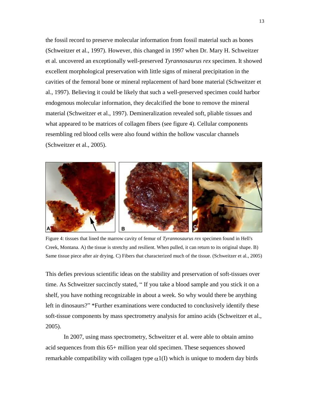the fossil record to preserve molecular information from fossil material such as bones (Schweitzer et al., 1997). However, this changed in 1997 when Dr. Mary H. Schweitzer et al. uncovered an exceptionally well-preserved *Tyrannosaurus rex* specimen. It showed excellent morphological preservation with little signs of mineral precipitation in the cavities of the femoral bone or mineral replacement of hard bone material (Schweitzer et al., 1997). Believing it could be likely that such a well-preserved specimen could harbor endogenous molecular information, they decalcified the bone to remove the mineral material (Schweitzer et al., 1997). Demineralization revealed soft, pliable tissues and what appeared to be matrices of collagen fibers (see figure 4). Cellular components resembling red blood cells were also found within the hollow vascular channels (Schweitzer et al., 2005).



Figure 4: tissues that lined the marrow cavity of femur of *Tyrannosaurus rex* specimen found in Hell's Creek, Montana. A) the tissue is stretchy and resilient. When pulled, it can return to its original shape. B) Same tissue piece after air drying. C) Fibers that characterized much of the tissue. (Schweitzer et al., 2005)

This defies previous scientific ideas on the stability and preservation of soft-tissues over time. As Schweitzer succinctly stated, " If you take a blood sample and you stick it on a shelf, you have nothing recognizable in about a week. So why would there be anything left in dinosaurs?" \*Further examinations were conducted to conclusively identify these soft-tissue components by mass spectrometry analysis for amino acids (Schweitzer et al., 2005).

In 2007, using mass spectrometry, Schweitzer et al. were able to obtain amino acid sequences from this 65+ million year old specimen. These sequences showed remarkable compatibility with collagen type  $\alpha$ 1(I) which is unique to modern day birds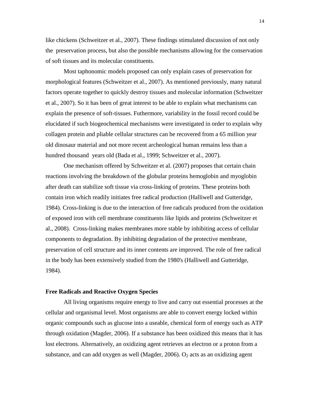like chickens (Schweitzer et al., 2007). These findings stimulated discussion of not only the preservation process, but also the possible mechanisms allowing for the conservation of soft tissues and its molecular constituents.

Most taphonomic models proposed can only explain cases of preservation for morphological features (Schweitzer et al., 2007). As mentioned previously, many natural factors operate together to quickly destroy tissues and molecular information (Schweitzer et al., 2007). So it has been of great interest to be able to explain what mechanisms can explain the presence of soft-tissues. Futhermore, variability in the fossil record could be elucidated if such biogeochemical mechanisms were investigated in order to explain why collagen protein and pliable cellular structures can be recovered from a 65 million year old dinosaur material and not more recent archeological human remains less than a hundred thousand years old (Bada et al., 1999; Schweitzer et al., 2007).

One mechanism offered by Schweitzer et al. (2007) proposes that certain chain reactions involving the breakdown of the globular proteins hemoglobin and myoglobin after death can stabilize soft tissue via cross-linking of proteins. These proteins both contain iron which readily initiates free radical production (Halliwell and Gutteridge, 1984). Cross-linking is due to the interaction of free radicals produced from the oxidation of exposed iron with cell membrane constituents like lipids and proteins (Schweitzer et al., 2008). Cross-linking makes membranes more stable by inhibiting access of cellular components to degradation. By inhibiting degradation of the protective membrane, preservation of cell structure and its inner contents are improved. The role of free radical in the body has been extensively studied from the 1980's (Halliwell and Gutteridge, 1984).

#### **Free Radicals and Reactive Oxygen Species**

All living organisms require energy to live and carry out essential processes at the cellular and organismal level. Most organisms are able to convert energy locked within organic compounds such as glucose into a useable, chemical form of energy such as ATP through oxidation (Magder, 2006). If a substance has been oxidized this means that it has lost electrons. Alternatively, an oxidizing agent retrieves an electron or a proton from a substance, and can add oxygen as well (Magder, 2006).  $O_2$  acts as an oxidizing agent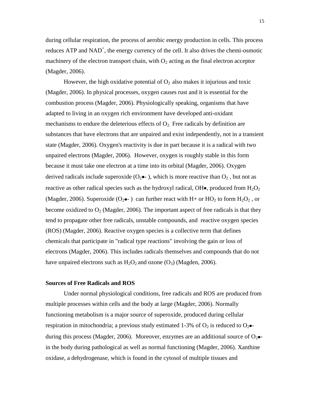during cellular respiration, the process of aerobic energy production in cells. This process reduces ATP and NAD<sup>+</sup>, the energy currency of the cell. It also drives the chemi-osmotic machinery of the electron transport chain, with  $O_2$  acting as the final electron acceptor (Magder, 2006).

However, the high oxidative potential of  $O<sub>2</sub>$  also makes it injurious and toxic (Magder, 2006). In physical processes, oxygen causes rust and it is essential for the combustion process (Magder, 2006). Physiologically speaking, organisms that have adapted to living in an oxygen rich environment have developed anti-oxidant mechanisms to endure the deleterious effects of  $O<sub>2</sub>$ . Free radicals by definition are substances that have electrons that are unpaired and exist independently, not in a transient state (Magder, 2006). Oxygen's reactivity is due in part because it is a radical with two unpaired electrons (Magder, 2006). However, oxygen is roughly stable in this form because it must take one electron at a time into its orbital (Magder, 2006). Oxygen derived radicals include superoxide  $(O_2 \bullet -)$ , which is more reactive than  $O_2$ , but not as reactive as other radical species such as the hydroxyl radical, OH $\bullet$ , produced from  $H_2O_2$ (Magder, 2006). Superoxide ( $O_2 \bullet \bullet$ ) can further react with H+ or HO<sub>2</sub> to form H<sub>2</sub>O<sub>2</sub>, or become oxidized to  $O_2$  (Magder, 2006). The important aspect of free radicals is that they tend to propagate other free radicals, unstable compounds, and reactive oxygen species (ROS) (Magder, 2006). Reactive oxygen species is a collective term that defines chemicals that participate in "radical type reactions" involving the gain or loss of electrons (Magder, 2006). This includes radicals themselves and compounds that do not have unpaired electrons such as  $H_2O_2$  and ozone  $(O_3)$  (Magden, 2006).

#### **Sources of Free Radicals and ROS**

Under normal physiological conditions, free radicals and ROS are produced from multiple processes within cells and the body at large (Magder, 2006). Normally functioning metabolism is a major source of superoxide, produced during cellular respiration in mitochondria; a previous study estimated 1-3% of  $O_2$  is reduced to  $O_2$ . during this process (Magder, 2006). Moreover, enzymes are an additional source of  $O_2 \bullet$ in the body during pathological as well as normal functioning (Magder, 2006). Xanthine oxidase, a dehydrogenase, which is found in the cytosol of multiple tissues and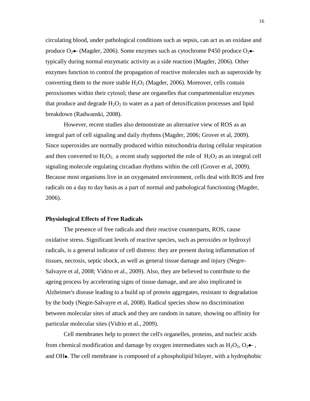circulating blood, under pathological conditions such as sepsis, can act as an oxidase and produce  $O_2 \bullet$  (Magder, 2006). Some enzymes such as cytochrome P450 produce  $O_2 \bullet$ typically during normal enzymatic activity as a side reaction (Magder, 2006). Other enzymes function to control the propagation of reactive molecules such as superoxide by converting them to the more stable  $H_2O_2$  (Magder, 2006). Moreover, cells contain peroxisomes within their cytosol; these are organelles that compartmentalize enzymes that produce and degrade  $H_2O_2$  to water as a part of detoxification processes and lipid breakdown (Radwanski, 2008).

However, recent studies also demonstrate an alternative view of ROS as an integral part of cell signaling and daily rhythms (Magder, 2006; Grover et al, 2009). Since superoxides are normally produced within mitochondria during cellular respiration and then converted to  $H_2O_2$ , a recent study supported the role of  $H_2O_2$  as an integral cell signaling molecule regulating circadian rhythms within the cell (Grover et al, 2009). Because most organisms live in an oxygenated environment, cells deal with ROS and free radicals on a day to day basis as a part of normal and pathological functioning (Magder, 2006).

### **Physiological Effects of Free Radicals**

The presence of free radicals and their reactive counterparts, ROS, cause oxidative stress. Significant levels of reactive species, such as peroxides or hydroxyl radicals, is a general indicator of cell distress: they are present during inflammation of tissues, necrosis, septic shock, as well as general tissue damage and injury (Negre-Salvayre et al, 2008; Vidrio et al., 2009). Also, they are believed to contribute to the ageing process by accelerating signs of tissue damage, and are also implicated in Alzheimer's disease leading to a build up of protein aggregates, resistant to degradation by the body (Negre-Salvayre et al, 2008). Radical species show no discrimination between molecular sites of attack and they are random in nature, showing no affinity for particular molecular sites (Vidrio et al., 2009).

Cell membranes help to protect the cell's organelles, proteins, and nucleic acids from chemical modification and damage by oxygen intermediates such as  $H_2O_2$ ,  $O_2 \bullet$ . and OH. The cell membrane is composed of a phospholipid bilayer, with a hydrophobic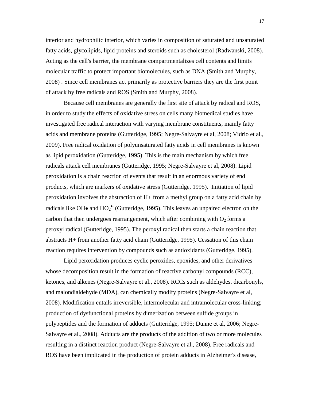interior and hydrophilic interior, which varies in composition of saturated and unsaturated fatty acids, glycolipids, lipid proteins and steroids such as cholesterol (Radwanski, 2008). Acting as the cell's barrier, the membrane compartmentalizes cell contents and limits molecular traffic to protect important biomolecules, such as DNA (Smith and Murphy, 2008) . Since cell membranes act primarily as protective barriers they are the first point of attack by free radicals and ROS (Smith and Murphy, 2008).

Because cell membranes are generally the first site of attack by radical and ROS, in order to study the effects of oxidative stress on cells many biomedical studies have investigated free radical interaction with varying membrane constituents, mainly fatty acids and membrane proteins (Gutteridge, 1995; Negre-Salvayre et al, 2008; Vidrio et al., 2009). Free radical oxidation of polyunsaturated fatty acids in cell membranes is known as lipid peroxidation (Gutteridge, 1995). This is the main mechanism by which free radicals attack cell membranes (Gutteridge, 1995; Negre-Salvayre et al, 2008). Lipid peroxidation is a chain reaction of events that result in an enormous variety of end products, which are markers of oxidative stress (Gutteridge, 1995). Initiation of lipid peroxidation involves the abstraction of H+ from a methyl group on a fatty acid chain by radicals like OH $\bullet$  and  $HO_2^{\bullet}$  (Gutteridge, 1995). This leaves an unpaired electron on the carbon that then undergoes rearrangement, which after combining with  $O<sub>2</sub>$  forms a peroxyl radical (Gutteridge, 1995). The peroxyl radical then starts a chain reaction that abstracts H+ from another fatty acid chain (Gutteridge, 1995). Cessation of this chain reaction requires intervention by compounds such as antioxidants (Gutteridge, 1995).

Lipid peroxidation produces cyclic peroxides, epoxides, and other derivatives whose decomposition result in the formation of reactive carbonyl compounds (RCC), ketones, and alkenes (Negre-Salvayre et al., 2008). RCCs such as aldehydes, dicarbonyls, and malondialdehyde (MDA), can chemically modify proteins (Negre-Salvayre et al, 2008). Modification entails irreversible, intermolecular and intramolecular cross-linking; production of dysfunctional proteins by dimerization between sulfide groups in polypeptides and the formation of adducts (Gutteridge, 1995; Dunne et al, 2006; Negre-Salvayre et al., 2008). Adducts are the products of the addition of two or more molecules resulting in a distinct reaction product (Negre-Salvayre et al., 2008). Free radicals and ROS have been implicated in the production of protein adducts in Alzheimer's disease,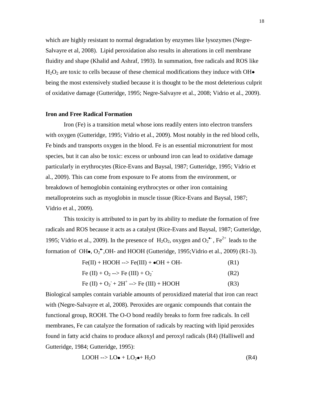which are highly resistant to normal degradation by enzymes like lysozymes (Negre-Salvayre et al, 2008). Lipid peroxidation also results in alterations in cell membrane fluidity and shape (Khalid and Ashraf, 1993). In summation, free radicals and ROS like  $H_2O_2$  are toxic to cells because of these chemical modifications they induce with OH $\bullet$ being the most extensively studied because it is thought to be the most deleterious culprit of oxidative damage (Gutteridge, 1995; Negre-Salvayre et al., 2008; Vidrio et al., 2009).

# **Iron and Free Radical Formation**

Iron (Fe) is a transition metal whose ions readily enters into electron transfers with oxygen (Gutteridge, 1995; Vidrio et al., 2009). Most notably in the red blood cells, Fe binds and transports oxygen in the blood. Fe is an essential micronutrient for most species, but it can also be toxic: excess or unbound iron can lead to oxidative damage particularly in erythrocytes (Rice-Evans and Baysal, 1987; Gutteridge, 1995; Vidrio et al., 2009). This can come from exposure to Fe atoms from the environment, or breakdown of hemoglobin containing erythrocytes or other iron containing metalloproteins such as myoglobin in muscle tissue (Rice-Evans and Baysal, 1987; Vidrio et al., 2009).

This toxicity is attributed to in part by its ability to mediate the formation of free radicals and ROS because it acts as a catalyst (Rice-Evans and Baysal, 1987; Gutteridge, 1995; Vidrio et al., 2009). In the presence of  $H_2O_2$ , oxygen and  $O_2^{\bullet\bullet}$ , Fe<sup>2+</sup> leads to the formation of OH $\bullet$ , O<sub>2</sub><sup> $\bullet$ </sup>,OH- and HOOH (Gutteridge, 1995; Vidrio et al., 2009) (R1-3).

| $Fe(II) + HOOH \rightarrow Fe(III) + \bullet OH + OH -$ | (R1) |
|---------------------------------------------------------|------|
|---------------------------------------------------------|------|

$$
Fe (II) + O_2 \longrightarrow Fe (III) + O_2 \tag{R2}
$$

$$
Fe (II) + O_2 + 2H^+ \to Fe (III) + HOOH
$$
 (R3)

Biological samples contain variable amounts of peroxidized material that iron can react with (Negre-Salvayre et al, 2008). Peroxides are organic compounds that contain the functional group, ROOH. The O-O bond readily breaks to form free radicals. In cell membranes, Fe can catalyze the formation of radicals by reacting with lipid peroxides found in fatty acid chains to produce alkoxyl and peroxyl radicals (R4) (Halliwell and Gutteridge, 1984; Gutteridge, 1995):

$$
LOOH \rightarrow LO \bullet + LO_2 \bullet + H_2O \tag{R4}
$$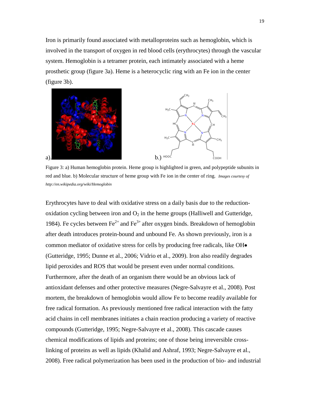Iron is primarily found associated with metalloproteins such as hemoglobin, which is involved in the transport of oxygen in red blood cells (erythrocytes) through the vascular system. Hemoglobin is a tetramer protein, each intimately associated with a heme prosthetic group (figure 3a). Heme is a heterocyclic ring with an Fe ion in the center (figure 3b).



Figure 3: a) Human hemoglobin protein. Heme group is highlighted in green, and polypeptide subunits in red and blue. b) Molecular structure of heme group with Fe ion in the center of ring. *Images courtesy of http://en.wikipedia.org/wiki/Hemoglobin*

Erythrocytes have to deal with oxidative stress on a daily basis due to the reductionoxidation cycling between iron and  $O_2$  in the heme groups (Halliwell and Gutteridge, 1984). Fe cycles between  $\text{Fe}^{2+}$  and  $\text{Fe}^{3+}$  after oxygen binds. Breakdown of hemoglobin after death introduces protein-bound and unbound Fe. As shown previously, iron is a common mediator of oxidative stress for cells by producing free radicals, like OH (Gutteridge, 1995; Dunne et al., 2006; Vidrio et al., 2009). Iron also readily degrades lipid peroxides and ROS that would be present even under normal conditions. Furthermore, after the death of an organism there would be an obvious lack of antioxidant defenses and other protective measures (Negre-Salvayre et al., 2008). Post mortem, the breakdown of hemoglobin would allow Fe to become readily available for free radical formation. As previously mentioned free radical interaction with the fatty acid chains in cell membranes initiates a chain reaction producing a variety of reactive compounds (Gutteridge, 1995; Negre-Salvayre et al., 2008). This cascade causes chemical modifications of lipids and proteins; one of those being irreversible crosslinking of proteins as well as lipids (Khalid and Ashraf, 1993; Negre-Salvayre et al., 2008). Free radical polymerization has been used in the production of bio- and industrial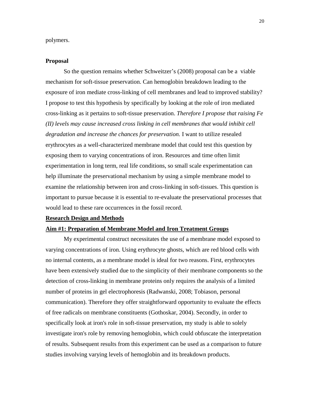polymers.

# **Proposal**

So the question remains whether Schweitzer's (2008) proposal can be a viable mechanism for soft-tissue preservation. Can hemoglobin breakdown leading to the exposure of iron mediate cross-linking of cell membranes and lead to improved stability? I propose to test this hypothesis by specifically by looking at the role of iron mediated cross-linking as it pertains to soft-tissue preservation. *Therefore I propose that raising Fe (II) levels may cause increased cross linking in cell membranes that would inhibit cell degradation and increase the chances for preservation.* I want to utilize resealed erythrocytes as a well-characterized membrane model that could test this question by exposing them to varying concentrations of iron. Resources and time often limit experimentation in long term, real life conditions, so small scale experimentation can help illuminate the preservational mechanism by using a simple membrane model to examine the relationship between iron and cross-linking in soft-tissues. This question is important to pursue because it is essential to re-evaluate the preservational processes that would lead to these rare occurrences in the fossil record.

# **Research Design and Methods**

#### **Aim #1: Preparation of Membrane Model and Iron Treatment Groups**

My experimental construct necessitates the use of a membrane model exposed to varying concentrations of iron. Using erythrocyte ghosts, which are red blood cells with no internal contents, as a membrane model is ideal for two reasons. First, erythrocytes have been extensively studied due to the simplicity of their membrane components so the detection of cross-linking in membrane proteins only requires the analysis of a limited number of proteins in gel electrophoresis (Radwanski, 2008; Tobiason, personal communication). Therefore they offer straightforward opportunity to evaluate the effects of free radicals on membrane constituents (Gothoskar, 2004). Secondly, in order to specifically look at iron's role in soft-tissue preservation, my study is able to solely investigate iron's role by removing hemoglobin, which could obfuscate the interpretation of results. Subsequent results from this experiment can be used as a comparison to future studies involving varying levels of hemoglobin and its breakdown products.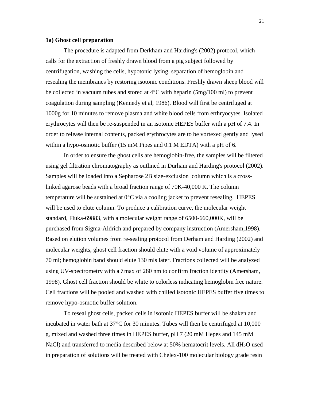#### **1a) Ghost cell preparation**

The procedure is adapted from Derkham and Harding's (2002) protocol, which calls for the extraction of freshly drawn blood from a pig subject followed by centrifugation, washing the cells, hypotonic lysing, separation of hemoglobin and resealing the membranes by restoring isotonic conditions. Freshly drawn sheep blood will be collected in vacuum tubes and stored at  $4^{\circ}$ C with heparin (5mg/100 ml) to prevent coagulation during sampling (Kennedy et al, 1986). Blood will first be centrifuged at 1000g for 10 minutes to remove plasma and white blood cells from erthryocytes. Isolated erythrocytes will then be re-suspended in an isotonic HEPES buffer with a pH of 7.4. In order to release internal contents, packed erythrocytes are to be vortexed gently and lysed within a hypo-osmotic buffer (15 mM Pipes and 0.1 M EDTA) with a pH of 6.

In order to ensure the ghost cells are hemoglobin-free, the samples will be filtered using gel filtration chromatography as outlined in Durham and Harding's protocol (2002). Samples will be loaded into a Sepharose 2B size-exclusion column which is a crosslinked agarose beads with a broad fraction range of 70K-40,000 K. The column temperature will be sustained at 0°C via a cooling jacket to prevent resealing. HEPES will be used to elute column. To produce a calibration curve, the molecular weight standard, Fluka-69883, with a molecular weight range of 6500-660,000K, will be purchased from Sigma-Aldrich and prepared by company instruction (Amersham,1998). Based on elution volumes from re-sealing protocol from Derham and Harding (2002) and molecular weights, ghost cell fraction should elute with a void volume of approximately 70 ml; hemoglobin band should elute 130 mls later. Fractions collected will be analyzed using UV-spectrometry with a  $\lambda$ max of 280 nm to confirm fraction identity (Amersham, 1998). Ghost cell fraction should be white to colorless indicating hemoglobin free nature. Cell fractions will be pooled and washed with chilled isotonic HEPES buffer five times to remove hypo-osmotic buffer solution.

To reseal ghost cells, packed cells in isotonic HEPES buffer will be shaken and incubated in water bath at 37°C for 30 minutes. Tubes will then be centrifuged at 10,000 g, mixed and washed three times in HEPES buffer, pH 7 (20 mM Hepes and 145 mM NaCl) and transferred to media described below at 50% hematocrit levels. All dH<sub>2</sub>O used in preparation of solutions will be treated with Chelex-100 molecular biology grade resin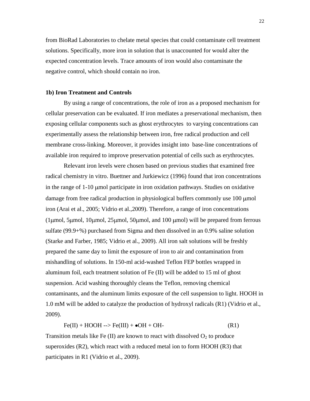from BioRad Laboratories to chelate metal species that could contaminate cell treatment solutions. Specifically, more iron in solution that is unaccounted for would alter the expected concentration levels. Trace amounts of iron would also contaminate the negative control, which should contain no iron.

# **1b) Iron Treatment and Controls**

By using a range of concentrations, the role of iron as a proposed mechanism for cellular preservation can be evaluated. If iron mediates a preservational mechanism, then exposing cellular components such as ghost erythrocytes to varying concentrations can experimentally assess the relationship between iron, free radical production and cell membrane cross-linking. Moreover, it provides insight into base-line concentrations of available iron required to improve preservation potential of cells such as erythrocytes.

Relevant iron levels were chosen based on previous studies that examined free radical chemistry in vitro. Buettner and Jurkiewicz (1996) found that iron concentrations in the range of  $1-10$  µmol participate in iron oxidation pathways. Studies on oxidative damage from free radical production in physiological buffers commonly use 100 µmol iron (Arai et al., 2005; Vidrio et al.,2009). Therefore, a range of iron concentrations (1 $\mu$ mol, 5 $\mu$ mol, 10 $\mu$ mol, 25 $\mu$ mol, 50 $\mu$ mol, and 100  $\mu$ mol) will be prepared from ferrous sulfate (99.9+%) purchased from Sigma and then dissolved in an 0.9% saline solution (Starke and Farber, 1985; Vidrio et al., 2009). All iron salt solutions will be freshly prepared the same day to limit the exposure of iron to air and contamination from mishandling of solutions. In 150-ml acid-washed Teflon FEP bottles wrapped in aluminum foil, each treatment solution of Fe (II) will be added to 15 ml of ghost suspension. Acid washing thoroughly cleans the Teflon, removing chemical contaminants, and the aluminum limits exposure of the cell suspension to light. HOOH in 1.0 mM will be added to catalyze the production of hydroxyl radicals (R1) (Vidrio et al., 2009).

$$
Fe(II) + HOOH \text{ --} > Fe(III) + \bullet OH + OH \text{ --}
$$
 (R1)

Transition metals like Fe  $(II)$  are known to react with dissolved  $O_2$  to produce superoxides  $(R2)$ , which react with a reduced metal ion to form HOOH  $(R3)$  that participates in R1 (Vidrio et al., 2009).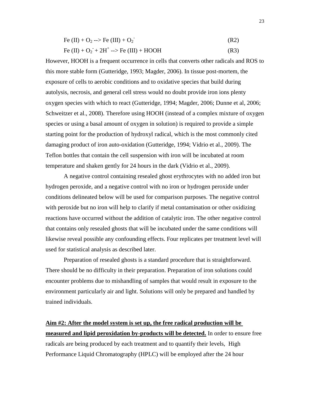| Fe (II) + O <sub>2</sub> --> Fe (III) + O <sub>2</sub>           | (R2) |
|------------------------------------------------------------------|------|
| Fe (II) + $O_2$ <sup>+</sup> 2H <sup>+</sup> --> Fe (III) + HOOH | (R3) |

However, HOOH is a frequent occurrence in cells that converts other radicals and ROS to this more stable form (Gutteridge, 1993; Magder, 2006). In tissue post-mortem, the exposure of cells to aerobic conditions and to oxidative species that build during autolysis, necrosis, and general cell stress would no doubt provide iron ions plenty oxygen species with which to react (Gutteridge, 1994; Magder, 2006; Dunne et al, 2006; Schweitzer et al., 2008). Therefore using HOOH (instead of a complex mixture of oxygen species or using a basal amount of oxygen in solution) is required to provide a simple starting point for the production of hydroxyl radical, which is the most commonly cited damaging product of iron auto-oxidation (Gutteridge, 1994; Vidrio et al., 2009). The Teflon bottles that contain the cell suspension with iron will be incubated at room temperature and shaken gently for 24 hours in the dark (Vidrio et al., 2009).

A negative control containing resealed ghost erythrocytes with no added iron but hydrogen peroxide, and a negative control with no iron or hydrogen peroxide under conditions delineated below will be used for comparison purposes. The negative control with peroxide but no iron will help to clarify if metal contamination or other oxidizing reactions have occurred without the addition of catalytic iron. The other negative control that contains only resealed ghosts that will be incubated under the same conditions will likewise reveal possible any confounding effects. Four replicates per treatment level will used for statistical analysis as described later.

Preparation of resealed ghosts is a standard procedure that is straightforward. There should be no difficulty in their preparation. Preparation of iron solutions could encounter problems due to mishandling of samples that would result in exposure to the environment particularly air and light. Solutions will only be prepared and handled by trained individuals.

# **Aim #2: After the model system is set up, the free radical production will be**

**measured and lipid peroxidation by-products will be detected.** In order to ensure free radicals are being produced by each treatment and to quantify their levels, High Performance Liquid Chromatography (HPLC) will be employed after the 24 hour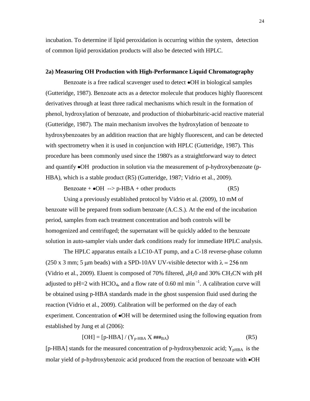incubation. To determine if lipid peroxidation is occurring within the system, detection of common lipid peroxidation products will also be detected with HPLC.

#### **2a) Measuring OH Production with High-Performance Liquid Chromatography**

Benzoate is a free radical scavenger used to detect  $\bullet$ OH in biological samples (Gutteridge, 1987). Benzoate acts as a detector molecule that produces highly fluorescent derivatives through at least three radical mechanisms which result in the formation of phenol, hydroxylation of benzoate, and production of thiobarbituric-acid reactive material (Gutteridge, 1987). The main mechanism involves the hydroxylation of benzoate to hydroxybenzoates by an addition reaction that are highly fluorescent, and can be detected with spectrometry when it is used in conjunction with HPLC (Gutteridge, 1987). This procedure has been commonly used since the 1980's as a straightforward way to detect and quantify  $\bullet$ OH production in solution via the measurement of p-hydroxybenzoate (p-HBA), which is a stable product (R5) (Gutteridge, 1987; Vidrio et al., 2009).

Benzoate +  $\bullet$ OH --> p-HBA + other products (R5)

Using a previously established protocol by Vidrio et al. (2009), 10 mM of benzoate will be prepared from sodium benzoate (A.C.S.). At the end of the incubation period, samples from each treatment concentration and both controls will be homogenized and centrifuged; the supernatant will be quickly added to the benzoate solution in auto-sampler vials under dark conditions ready for immediate HPLC analysis.

The HPLC apparatus entails a LC10-AT pump, and a C-18 reverse-phase column (250 x 3 mm; 5 µm beads) with a SPD-10AV UV-visible detector with  $\lambda = 256$  nm (Vidrio et al., 2009). Eluent is composed of 70% filtered,  $_{d}H_{2}0$  and 30% CH<sub>3</sub>CN with pH adjusted to pH=2 with HClO<sub>4</sub>, and a flow rate of 0.60 ml min<sup>-1</sup>. A calibration curve will be obtained using p-HBA standards made in the ghost suspension fluid used during the reaction (Vidrio et al., 2009). Calibration will be performed on the day of each experiment. Concentration of  $\bullet$ OH will be determined using the following equation from established by Jung et al (2006):

$$
[OH] = [p-HBA] / (Y_{p-HBA} X \# \# \#_{BA})
$$
 (R5)

[p-HBA] stands for the measured concentration of p-hydroxybenzoic acid;  $Y_{\text{pHBA}}$  is the molar yield of p-hydroxybenzoic acid produced from the reaction of benzoate with  $\bullet$ OH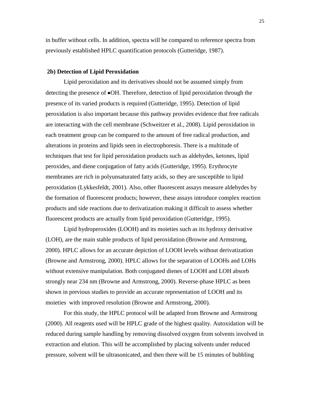in buffer without cells. In addition, spectra will be compared to reference spectra from previously established HPLC quantification protocols (Gutteridge, 1987).

#### **2b) Detection of Lipid Peroxidation**

Lipid peroxidation and its derivatives should not be assumed simply from detecting the presence of OH. Therefore, detection of lipid peroxidation through the presence of its varied products is required (Gutteridge, 1995). Detection of lipid peroxidation is also important because this pathway provides evidence that free radicals are interacting with the cell membrane (Schweitzer et al., 2008). Lipid peroxidation in each treatment group can be compared to the amount of free radical production, and alterations in proteins and lipids seen in electrophoresis. There is a multitude of techniques that test for lipid peroxidation products such as aldehydes, ketones, lipid peroxides, and diene conjugation of fatty acids (Gutteridge, 1995). Erythrocyte membranes are rich in polyunsaturated fatty acids, so they are susceptible to lipid peroxidation (Lykkesfeldt, 2001). Also, other fluorescent assays measure aldehydes by the formation of fluorescent products; however, these assays introduce complex reaction products and side reactions due to derivatization making it difficult to assess whether fluorescent products are actually from lipid peroxidation (Gutteridge, 1995).

Lipid hydroperoxides (LOOH) and its moieties such as its hydroxy derivative (LOH), are the main stable products of lipid peroxidation (Browne and Armstrong, 2000). HPLC allows for an accurate depiction of LOOH levels without derivatization (Browne and Armstrong, 2000). HPLC allows for the separation of LOOHs and LOHs without extensive manipulation. Both conjugated dienes of LOOH and LOH absorb strongly near 234 nm (Browne and Armstrong, 2000). Reverse-phase HPLC as been shown in previous studies to provide an accurate representation of LOOH and its moieties with improved resolution (Browne and Armstrong, 2000).

For this study, the HPLC protocol will be adapted from Browne and Armstrong (2000). All reagents used will be HPLC grade of the highest quality. Autoxidation will be reduced during sample handling by removing dissolved oxygen from solvents involved in extraction and elution. This will be accomplished by placing solvents under reduced pressure, solvent will be ultrasonicated, and then there will be 15 minutes of bubbling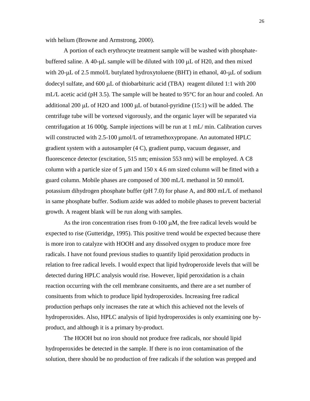with helium (Browne and Armstrong, 2000).

A portion of each erythrocyte treatment sample will be washed with phosphatebuffered saline. A 40- $\mu$ L sample will be diluted with 100  $\mu$ L of H20, and then mixed with  $20$ - $\mu$ L of 2.5 mmol/L butylated hydroxytoluene (BHT) in ethanol, 40- $\mu$ L of sodium dodecyl sulfate, and  $600 \mu L$  of thiobarbituric acid (TBA) reagent diluted 1:1 with 200 mL/L acetic acid (pH 3.5). The sample will be heated to 95<sup>o</sup>C for an hour and cooled. An additional 200  $\mu$ L of H2O and 1000  $\mu$ L of butanol-pyridine (15:1) will be added. The centrifuge tube will be vortexed vigorously, and the organic layer will be separated via centrifugation at 16 000g. Sample injections will be run at 1 mL/ min. Calibration curves will constructed with 2.5-100 µmol/L of tetramethoxypropane. An automated HPLC gradient system with a autosampler (4 C), gradient pump, vacuum degasser, and fluorescence detector (excitation, 515 nm; emission 553 nm) will be employed. A C8 column with a particle size of 5  $\mu$ m and 150 x 4.6 nm sized column will be fitted with a guard column. Mobile phases are composed of 300 mL/L methanol in 50 mmol/L potassium dihydrogen phosphate buffer (pH 7.0) for phase A, and 800 mL/L of methanol in same phosphate buffer. Sodium azide was added to mobile phases to prevent bacterial growth. A reagent blank will be run along with samples.

As the iron concentration rises from  $0-100 \mu M$ , the free radical levels would be expected to rise (Gutteridge, 1995). This positive trend would be expected because there is more iron to catalyze with HOOH and any dissolved oxygen to produce more free radicals. I have not found previous studies to quantify lipid peroxidation products in relation to free radical levels. I would expect that lipid hydroperoxide levels that will be detected during HPLC analysis would rise. However, lipid peroxidation is a chain reaction occurring with the cell membrane consituents, and there are a set number of consituents from which to produce lipid hydroperoxides. Increasing free radical production perhaps only increases the rate at which this achieved not the levels of hydroperoxides. Also, HPLC analysis of lipid hydroperoxides is only examining one byproduct, and although it is a primary by-product.

The HOOH but no iron should not produce free radicals, nor should lipid hydroperoxides be detected in the sample. If there is no iron contamination of the solution, there should be no production of free radicals if the solution was prepped and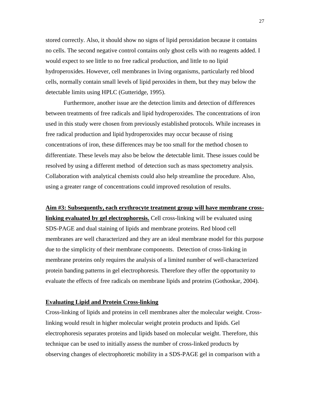stored correctly. Also, it should show no signs of lipid peroxidation because it contains no cells. The second negative control contains only ghost cells with no reagents added. I would expect to see little to no free radical production, and little to no lipid hydroperoxides. However, cell membranes in living organisms, particularly red blood cells, normally contain small levels of lipid peroxides in them, but they may below the detectable limits using HPLC (Gutteridge, 1995).

Furthermore, another issue are the detection limits and detection of differences between treatments of free radicals and lipid hydroperoxides. The concentrations of iron used in this study were chosen from previously established protocols. While increases in free radical production and lipid hydroperoxides may occur because of rising concentrations of iron, these differences may be too small for the method chosen to differentiate. These levels may also be below the detectable limit. These issues could be resolved by using a different method of detection such as mass spectometry analysis. Collaboration with analytical chemists could also help streamline the procedure. Also, using a greater range of concentrations could improved resolution of results.

# **Aim #3: Subsequently, each erythrocyte treatment group will have membrane crosslinking evaluated by gel electrophoresis.** Cell cross-linking will be evaluated using SDS-PAGE and dual staining of lipids and membrane proteins. Red blood cell membranes are well characterized and they are an ideal membrane model for this purpose due to the simplicity of their membrane components. Detection of cross-linking in membrane proteins only requires the analysis of a limited number of well-characterized protein banding patterns in gel electrophoresis. Therefore they offer the opportunity to evaluate the effects of free radicals on membrane lipids and proteins (Gothoskar, 2004).

# **Evaluating Lipid and Protein Cross-linking**

Cross-linking of lipids and proteins in cell membranes alter the molecular weight. Crosslinking would result in higher molecular weight protein products and lipids. Gel electrophoresis separates proteins and lipids based on molecular weight. Therefore, this technique can be used to initially assess the number of cross-linked products by observing changes of electrophoretic mobility in a SDS-PAGE gel in comparison with a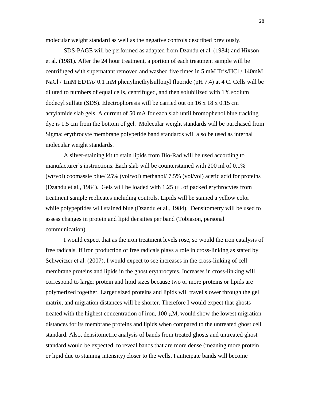molecular weight standard as well as the negative controls described previously.

SDS-PAGE will be performed as adapted from Dzandu et al. (1984) and Hixson et al. (1981). After the 24 hour treatment, a portion of each treatment sample will be centrifuged with supernatant removed and washed five times in 5 mM Tris/HCl / 140mM NaCl / 1mM EDTA/ 0.1 mM phenylmethylsulfonyl fluoride (pH 7.4) at 4 C. Cells will be diluted to numbers of equal cells, centrifuged, and then solubilized with 1% sodium dodecyl sulfate (SDS). Electrophoresis will be carried out on 16 x 18 x 0.15 cm acrylamide slab gels. A current of 50 mA for each slab until bromophenol blue tracking dye is 1.5 cm from the bottom of gel. Molecular weight standards will be purchased from Sigma; erythrocyte membrane polypetide band standards will also be used as internal molecular weight standards.

A silver-staining kit to stain lipids from Bio-Rad will be used according to manufacturer's instructions. Each slab will be counterstained with 200 ml of 0.1% (wt/vol) coomassie blue/ 25% (vol/vol) methanol/ 7.5% (vol/vol) acetic acid for proteins (Dzandu et al., 1984). Gels will be loaded with  $1.25 \mu L$  of packed erythrocytes from treatment sample replicates including controls. Lipids will be stained a yellow color while polypeptides will stained blue (Dzandu et al., 1984). Densitometry will be used to assess changes in protein and lipid densities per band (Tobiason, personal communication).

I would expect that as the iron treatment levels rose, so would the iron catalysis of free radicals. If iron production of free radicals plays a role in cross-linking as stated by Schweitzer et al. (2007), I would expect to see increases in the cross-linking of cell membrane proteins and lipids in the ghost erythrocytes. Increases in cross-linking will correspond to larger protein and lipid sizes because two or more proteins or lipids are polymerized together. Larger sized proteins and lipids will travel slower through the gel matrix, and migration distances will be shorter. Therefore I would expect that ghosts treated with the highest concentration of iron,  $100 \mu M$ , would show the lowest migration distances for its membrane proteins and lipids when compared to the untreated ghost cell standard. Also, densitometric analysis of bands from treated ghosts and untreated ghost standard would be expected to reveal bands that are more dense (meaning more protein or lipid due to staining intensity) closer to the wells. I anticipate bands will become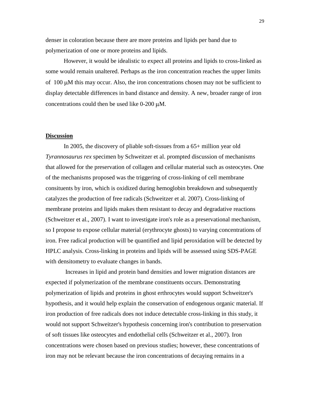denser in coloration because there are more proteins and lipids per band due to polymerization of one or more proteins and lipids.

However, it would be idealistic to expect all proteins and lipids to cross-linked as some would remain unaltered. Perhaps as the iron concentration reaches the upper limits of  $100 \mu$ M this may occur. Also, the iron concentrations chosen may not be sufficient to display detectable differences in band distance and density. A new, broader range of iron concentrations could then be used like  $0\n-200 \mu M$ .

#### **Discussion**

In 2005, the discovery of pliable soft-tissues from a 65+ million year old *Tyrannosaurus rex* specimen by Schweitzer et al. prompted discussion of mechanisms that allowed for the preservation of collagen and cellular material such as osteocytes. One of the mechanisms proposed was the triggering of cross-linking of cell membrane consituents by iron, which is oxidized during hemoglobin breakdown and subsequently catalyzes the production of free radicals (Schweitzer et al. 2007). Cross-linking of membrane proteins and lipids makes them resistant to decay and degradative reactions (Schweitzer et al., 2007). I want to investigate iron's role as a preservational mechanism, so I propose to expose cellular material (erythrocyte ghosts) to varying concentrations of iron. Free radical production will be quantified and lipid peroxidation will be detected by HPLC analysis. Cross-linking in proteins and lipids will be assessed using SDS-PAGE with densitometry to evaluate changes in bands.

Increases in lipid and protein band densities and lower migration distances are expected if polymerization of the membrane constituents occurs. Demonstrating polymerization of lipids and proteins in ghost erthrocytes would support Schweitzer's hypothesis, and it would help explain the conservation of endogenous organic material. If iron production of free radicals does not induce detectable cross-linking in this study, it would not support Schweitzer's hypothesis concerning iron's contribution to preservation of soft tissues like osteocytes and endothelial cells (Schweitzer et al., 2007). Iron concentrations were chosen based on previous studies; however, these concentrations of iron may not be relevant because the iron concentrations of decaying remains in a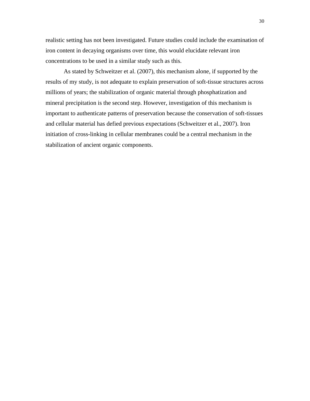realistic setting has not been investigated. Future studies could include the examination of iron content in decaying organisms over time, this would elucidate relevant iron concentrations to be used in a similar study such as this.

As stated by Schweitzer et al. (2007), this mechanism alone, if supported by the results of my study, is not adequate to explain preservation of soft-tissue structures across millions of years; the stabilization of organic material through phosphatization and mineral precipitation is the second step. However, investigation of this mechanism is important to authenticate patterns of preservation because the conservation of soft-tissues and cellular material has defied previous expectations (Schweitzer et al., 2007). Iron initiation of cross-linking in cellular membranes could be a central mechanism in the stabilization of ancient organic components.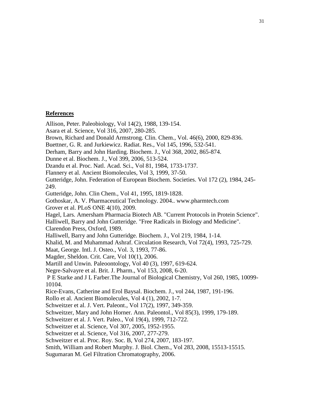# **References**

Allison, Peter. Paleobiology, Vol 14(2), 1988, 139-154. Asara et al. Science, Vol 316, 2007, 280-285. Brown, Richard and Donald Armstrong. Clin. Chem., Vol. 46(6), 2000, 829-836. Buettner, G. R. and Jurkiewicz. Radiat. Res., Vol 145, 1996, 532-541. Derham, Barry and John Harding. Biochem. J., Vol 368, 2002, 865-874. Dunne et al. Biochem. J., Vol 399, 2006, 513-524. Dzandu et al. Proc. Natl. Acad. Sci., Vol 81, 1984, 1733-1737. Flannery et al. Ancient Biomolecules, Vol 3, 1999, 37-50. Gutteridge, John. Federation of European Biochem. Societies. Vol 172 (2), 1984, 245- 249. Gutteridge, John. Clin Chem., Vol 41, 1995, 1819-1828. Gothoskar, A. V. Pharmaceutical Technology. 2004.. www.pharmtech.com Grover et al. PLoS ONE 4(10), 2009. Hagel, Lars. Amersham Pharmacia Biotech AB. "Current Protocols in Protein Science". Halliwell, Barry and John Gutteridge. "Free Radicals in Biology and Medicine". Clarendon Press, Oxford, 1989. Halliwell, Barry and John Gutteridge. Biochem. J., Vol 219, 1984, 1-14. Khalid, M. and Muhammad Ashraf. Circulation Research, Vol 72(4), 1993, 725-729. Maat, George. Intl. J. Osteo., Vol. 3, 1993, 77-86. Magder, Sheldon. Crit. Care, Vol 10(1), 2006. Martill and Unwin. Paleoontology, Vol 40 (3), 1997, 619-624. Negre-Salvayre et al. Brit. J. Pharm., Vol 153, 2008, 6-20. [P E Starke](http://www.jbc.org/search?author1=P+E+Starke&sortspec=date&submit=Submit) and [J L Farber.](http://www.jbc.org/search?author1=J+L+Farber&sortspec=date&submit=Submit)The Journal of Biological Chemistry, Vol 260, 1985, 10099- 10104. Rice-Evans, Catherine and Erol Baysal. Biochem. J., vol 244, 1987, 191-196. Rollo et al. Ancient Biomolecules, Vol 4 (1), 2002, 1-7. Schweitzer et al. J. Vert. Paleont., Vol 17(2), 1997, 349-359. Schweitzer, Mary and John Horner. Ann. Paleontol., Vol 85(3), 1999, 179-189. Schweitzer et al. J. Vert. Paleo., Vol 19(4), 1999, 712-722. Schweitzer et al. Science, Vol 307, 2005, 1952-1955. Schweitzer et al. Science, Vol 316, 2007, 277-279. Schweitzer et al. Proc. Roy. Soc. B, Vol 274, 2007, 183-197. Smith, William and Robert Murphy. J. Biol. Chem., Vol 283, 2008, 15513-15515. Sugumaran M. Gel Filtration Chromatography, 2006.